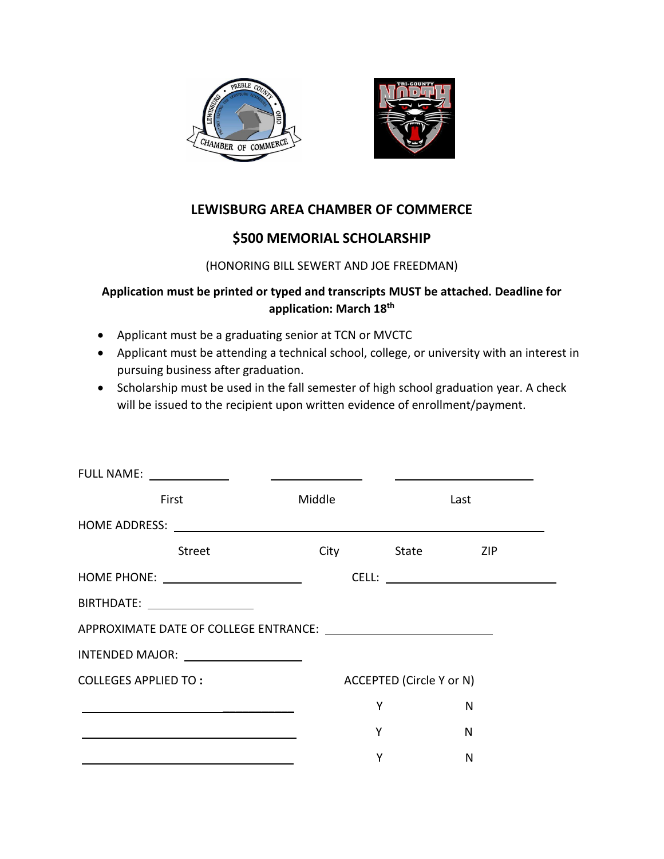



# **LEWISBURG AREA CHAMBER OF COMMERCE**

## **\$500 MEMORIAL SCHOLARSHIP**

#### (HONORING BILL SEWERT AND JOE FREEDMAN)

### **Application must be printed or typed and transcripts MUST be attached. Deadline for application: March 18th**

- Applicant must be a graduating senior at TCN or MVCTC
- Applicant must be attending a technical school, college, or university with an interest in pursuing business after graduation.
- Scholarship must be used in the fall semester of high school graduation year. A check will be issued to the recipient upon written evidence of enrollment/payment.

| FULL NAME: _____________                                                                                             | <u> 1989 - John Stein, Amerikaansk politiker (</u> |                                 |      |  |
|----------------------------------------------------------------------------------------------------------------------|----------------------------------------------------|---------------------------------|------|--|
| First                                                                                                                | Middle                                             |                                 | Last |  |
|                                                                                                                      |                                                    |                                 |      |  |
| Street                                                                                                               | <b>City</b>                                        | State ZIP                       |      |  |
|                                                                                                                      |                                                    |                                 |      |  |
| BIRTHDATE: __________________                                                                                        |                                                    |                                 |      |  |
|                                                                                                                      |                                                    |                                 |      |  |
| INTENDED MAJOR: ____________________                                                                                 |                                                    |                                 |      |  |
| <b>COLLEGES APPLIED TO:</b>                                                                                          |                                                    | <b>ACCEPTED (Circle Y or N)</b> |      |  |
| <u> 1989 - Johann Stein, mars an deus an deus an deus an deus an deus an deus an deus an deus an deus an deus an</u> | Y                                                  |                                 | N    |  |
|                                                                                                                      | Y                                                  |                                 | N    |  |
|                                                                                                                      | Y                                                  |                                 | N    |  |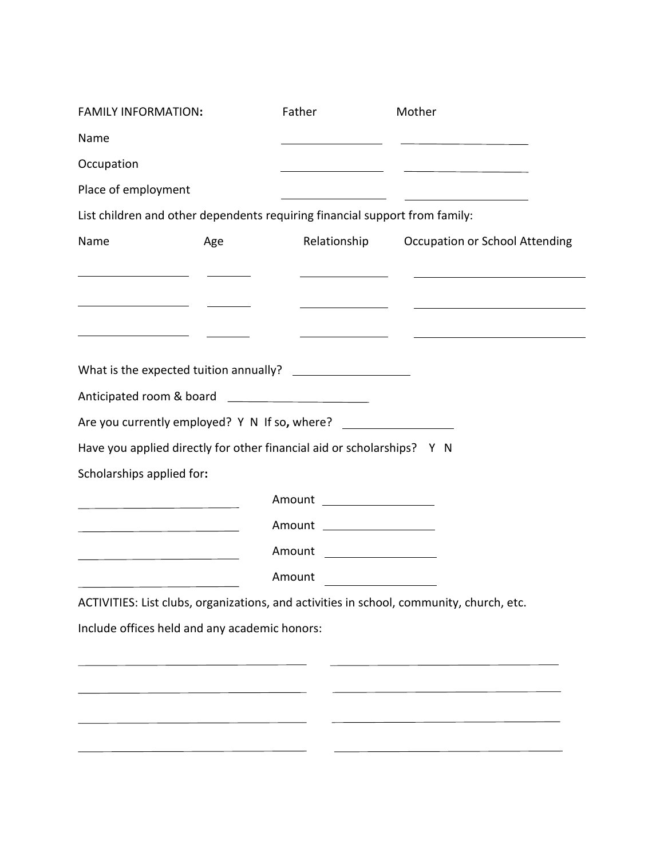| <b>FAMILY INFORMATION:</b>                                                                                            |     | Father                       | Mother                                                                                                                |
|-----------------------------------------------------------------------------------------------------------------------|-----|------------------------------|-----------------------------------------------------------------------------------------------------------------------|
| Name                                                                                                                  |     |                              | <u> 1989 - Johann Harry Barn, mars and de Barn, mars and de Barn, mars and de Barn, mars and de Barn, mars and de</u> |
| Occupation                                                                                                            |     |                              | <u> 1989 - Andrea State Barbara, política establecera en la contrada de la contrada de la contrada de la contrada</u> |
| Place of employment                                                                                                   |     |                              |                                                                                                                       |
| List children and other dependents requiring financial support from family:                                           |     |                              |                                                                                                                       |
| Name                                                                                                                  | Age |                              | Relationship Occupation or School Attending                                                                           |
| <u> 1989 - Johann Barn, fransk politik (d. 1989)</u>                                                                  |     |                              | <u> 1989 - Johann Stein, syntantista eta politikaria (h. 1908).</u>                                                   |
|                                                                                                                       |     |                              |                                                                                                                       |
|                                                                                                                       |     |                              | <u> 1989 - Johann Harry Harry Harry Harry Harry Harry Harry Harry Harry Harry Harry Harry Harry Harry Harry Harry</u> |
| <u> 1989 - Johann Barn, fransk politik (</u>                                                                          |     |                              | <u> 1989 - Johann John Stone, markin film yn y brenin y brenin y brenin y brenin y brenin y brenin y brenin y br</u>  |
|                                                                                                                       |     |                              |                                                                                                                       |
|                                                                                                                       |     |                              |                                                                                                                       |
| Are you currently employed? Y N If so, where?                                                                         |     |                              |                                                                                                                       |
| Have you applied directly for other financial aid or scholarships? Y N                                                |     |                              |                                                                                                                       |
| Scholarships applied for:                                                                                             |     |                              |                                                                                                                       |
| <u> 1989 - Johann Harry Harry Harry Harry Harry Harry Harry Harry Harry Harry Harry Harry Harry Harry Harry Harry</u> |     | Amount ___________________   |                                                                                                                       |
| <u> 1980 - Johann Barbara, martxa alemaniar a</u>                                                                     |     | Amount _____________________ |                                                                                                                       |
| <u> 1980 - Johann Barn, amerikansk politiker (</u>                                                                    |     | Amount ___________________   |                                                                                                                       |
|                                                                                                                       |     | Amount                       |                                                                                                                       |
|                                                                                                                       |     |                              | ACTIVITIES: List clubs, organizations, and activities in school, community, church, etc.                              |
| Include offices held and any academic honors:                                                                         |     |                              |                                                                                                                       |
|                                                                                                                       |     |                              |                                                                                                                       |
|                                                                                                                       |     |                              | <u> 1989 - Johann Barn, amerikansk politiker (</u>                                                                    |
|                                                                                                                       |     |                              |                                                                                                                       |
|                                                                                                                       |     |                              |                                                                                                                       |